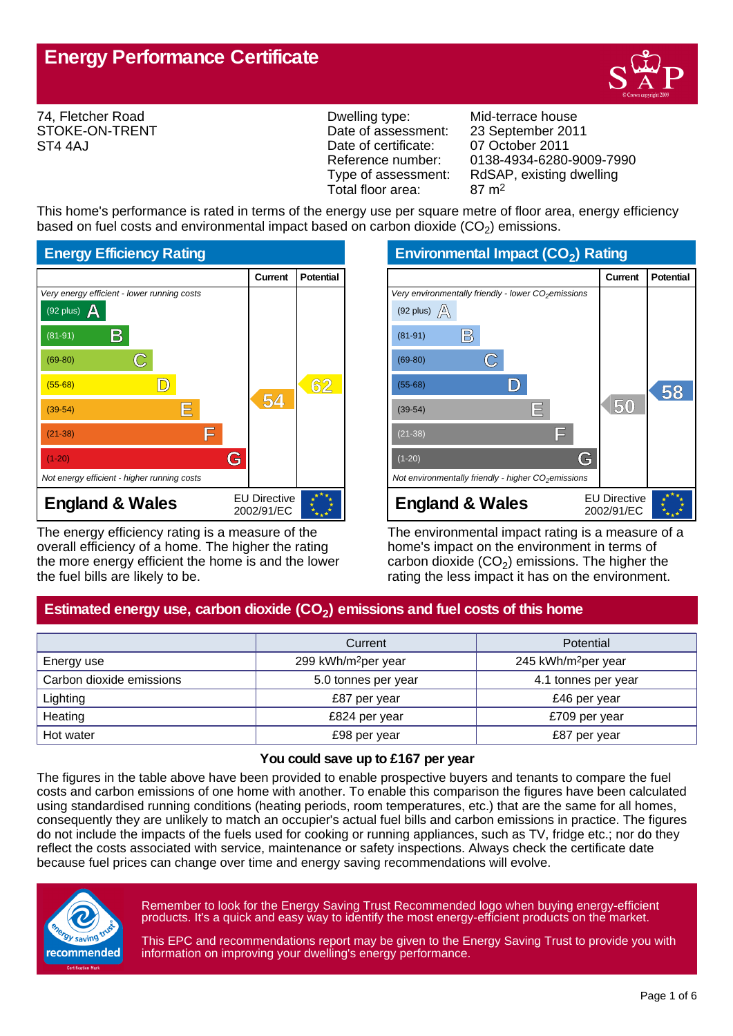

74, Fletcher Road STOKE-ON-TRENT ST4 4AJ

Dwelling type: Mid-terrace house Date of assessment: 23 September 2011 Date of certificate: 07 October 2011<br>Reference number: 0138-4934-6280 Total floor area: 87 m2

Reference number: 0138-4934-6280-9009-7990<br>Type of assessment: RdSAP, existing dwelling RdSAP, existing dwelling

This home's performance is rated in terms of the energy use per square metre of floor area, energy efficiency based on fuel costs and environmental impact based on carbon dioxide (CO<sub>2</sub>) emissions.



The energy efficiency rating is a measure of the overall efficiency of a home. The higher the rating the more energy efficient the home is and the lower the fuel bills are likely to be.

**Environmental Impact (CO<sup>2</sup> ) Rating**

|                                                                 | <b>Current</b>                    | <b>Potential</b> |
|-----------------------------------------------------------------|-----------------------------------|------------------|
| Very environmentally friendly - lower CO <sub>2</sub> emissions |                                   |                  |
| (92 plus) $\mathbb{A}$                                          |                                   |                  |
| B<br>$(81-91)$                                                  |                                   |                  |
| $(69-80)$                                                       |                                   |                  |
| $(55-68)$                                                       |                                   | 58               |
| IΕ<br>$(39-54)$                                                 | 50                                |                  |
| ΙF<br>$(21-38)$                                                 |                                   |                  |
| G<br>$(1-20)$                                                   |                                   |                  |
| Not environmentally friendly - higher $CO2$ emissions           |                                   |                  |
| <b>England &amp; Wales</b>                                      | <b>EU Directive</b><br>2002/91/EC |                  |

The environmental impact rating is a measure of a home's impact on the environment in terms of carbon dioxide (CO<sub>2</sub>) emissions. The higher the rating the less impact it has on the environment.

# **Estimated energy use, carbon dioxide (CO<sup>2</sup> ) emissions and fuel costs of this home**

|                          | Potential<br>Current            |                                 |
|--------------------------|---------------------------------|---------------------------------|
| Energy use               | 299 kWh/m <sup>2</sup> per year | 245 kWh/m <sup>2</sup> per year |
| Carbon dioxide emissions | 5.0 tonnes per year             | 4.1 tonnes per year             |
| Lighting                 | £87 per year                    | £46 per year                    |
| Heating                  | £824 per year                   | £709 per year                   |
| Hot water                | £98 per year                    | £87 per year                    |

#### **You could save up to £167 per year**

The figures in the table above have been provided to enable prospective buyers and tenants to compare the fuel costs and carbon emissions of one home with another. To enable this comparison the figures have been calculated using standardised running conditions (heating periods, room temperatures, etc.) that are the same for all homes, consequently they are unlikely to match an occupier's actual fuel bills and carbon emissions in practice. The figures do not include the impacts of the fuels used for cooking or running appliances, such as TV, fridge etc.; nor do they reflect the costs associated with service, maintenance or safety inspections. Always check the certificate date because fuel prices can change over time and energy saving recommendations will evolve.



Remember to look for the Energy Saving Trust Recommended logo when buying energy-efficient products. It's a quick and easy way to identify the most energy-efficient products on the market.

This EPC and recommendations report may be given to the Energy Saving Trust to provide you with information on improving your dwelling's energy performance.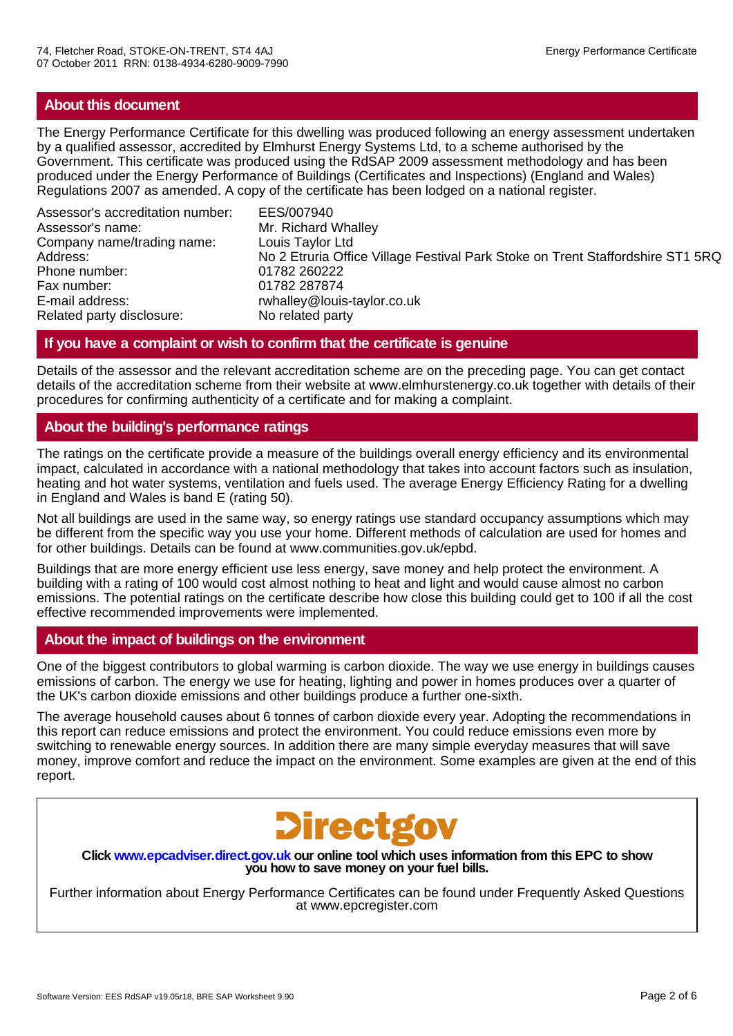# **About this document**

The Energy Performance Certificate for this dwelling was produced following an energy assessment undertaken by a qualified assessor, accredited by Elmhurst Energy Systems Ltd, to a scheme authorised by the Government. This certificate was produced using the RdSAP 2009 assessment methodology and has been produced under the Energy Performance of Buildings (Certificates and Inspections) (England and Wales) Regulations 2007 as amended. A copy of the certificate has been lodged on a national register.

Assessor's accreditation number: EES/007940 Assessor's name: Mr. Richard Whalley Company name/trading name: Louis Taylor Ltd Phone number: 01782 260222 Fax number: 01782 287874 E-mail address: rwhalley@louis-taylor.co.uk<br>Related party disclosure: No related party Related party disclosure:

No 2 Etruria Office Village Festival Park Stoke on Trent Staffordshire ST1 5RQ

# **If you have a complaint or wish to confirm that the certificate is genuine**

Details of the assessor and the relevant accreditation scheme are on the preceding page. You can get contact details of the accreditation scheme from their website at www.elmhurstenergy.co.uk together with details of their procedures for confirming authenticity of a certificate and for making a complaint.

# **About the building's performance ratings**

The ratings on the certificate provide a measure of the buildings overall energy efficiency and its environmental impact, calculated in accordance with a national methodology that takes into account factors such as insulation, heating and hot water systems, ventilation and fuels used. The average Energy Efficiency Rating for a dwelling in England and Wales is band E (rating 50).

Not all buildings are used in the same way, so energy ratings use standard occupancy assumptions which may be different from the specific way you use your home. Different methods of calculation are used for homes and for other buildings. Details can be found at www.communities.gov.uk/epbd.

Buildings that are more energy efficient use less energy, save money and help protect the environment. A building with a rating of 100 would cost almost nothing to heat and light and would cause almost no carbon emissions. The potential ratings on the certificate describe how close this building could get to 100 if all the cost effective recommended improvements were implemented.

# **About the impact of buildings on the environment**

One of the biggest contributors to global warming is carbon dioxide. The way we use energy in buildings causes emissions of carbon. The energy we use for heating, lighting and power in homes produces over a quarter of the UK's carbon dioxide emissions and other buildings produce a further one-sixth.

The average household causes about 6 tonnes of carbon dioxide every year. Adopting the recommendations in this report can reduce emissions and protect the environment. You could reduce emissions even more by switching to renewable energy sources. In addition there are many simple everyday measures that will save money, improve comfort and reduce the impact on the environment. Some examples are given at the end of this report.



**Click www.epcadviser.direct.gov.uk our online tool which uses information from this EPC to show you how to save money on your fuel bills.**

Further information about Energy Performance Certificates can be found under Frequently Asked Questions at www.epcregister.com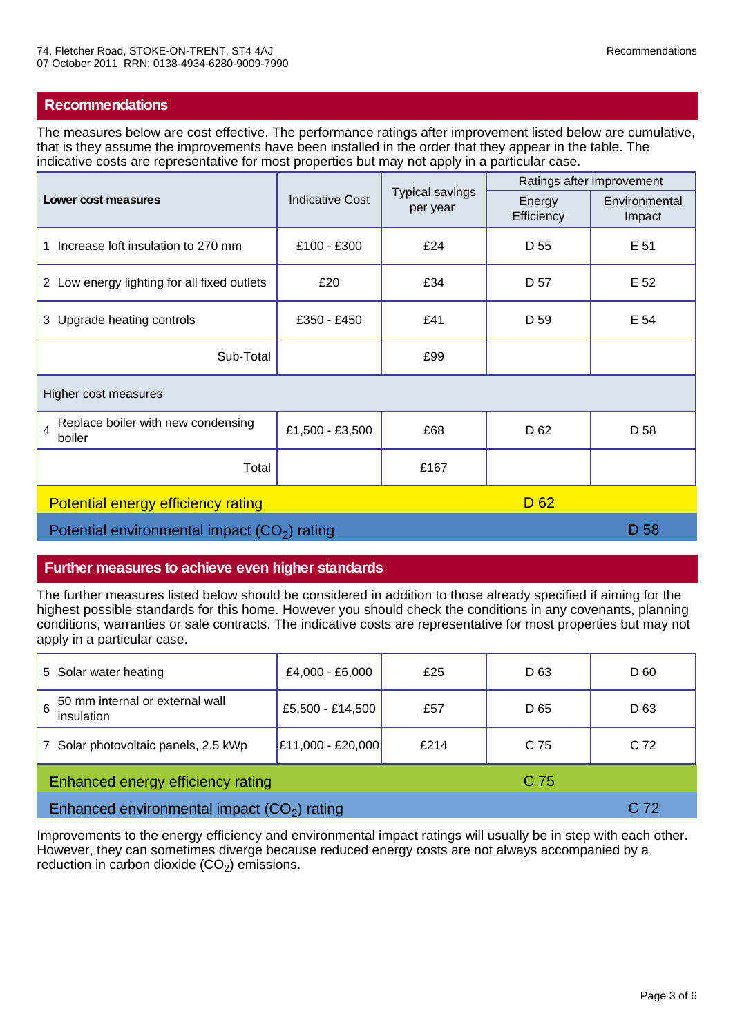## **Recommendations**

The measures below are cost effective. The performance ratings after improvement listed below are cumulative, that is they assume the improvements have been installed in the order that they appear in the table. The indicative costs are representative for most properties but may not apply in a particular case.

|                                                                | <b>Indicative Cost</b> | <b>Typical savings</b><br>per year | Ratings after improvement |                         |
|----------------------------------------------------------------|------------------------|------------------------------------|---------------------------|-------------------------|
| Lower cost measures                                            |                        |                                    | Energy<br>Efficiency      | Environmental<br>Impact |
| Increase loft insulation to 270 mm<br>1                        | £100 - £300            | £24                                | D 55                      | E 51                    |
| 2 Low energy lighting for all fixed outlets                    | £20                    | £34                                | D 57                      | E 52                    |
| 3 Upgrade heating controls                                     | £350 - £450            | £41                                | D 59                      | E 54                    |
| Sub-Total                                                      |                        | £99                                |                           |                         |
| Higher cost measures                                           |                        |                                    |                           |                         |
| Replace boiler with new condensing<br>$\overline{4}$<br>boiler | £1,500 - £3,500        | £68                                | D <sub>62</sub>           | D 58                    |
| Total                                                          |                        | £167                               |                           |                         |
| D <sub>62</sub><br>Potential energy efficiency rating          |                        |                                    |                           |                         |
| Potential environmental impact $(CO2)$ rating                  |                        |                                    | D 58                      |                         |

## **Further measures to achieve even higher standards**

The further measures listed below should be considered in addition to those already specified if aiming for the highest possible standards for this home. However you should check the conditions in any covenants, planning conditions, warranties or sale contracts. The indicative costs are representative for most properties but may not apply in a particular case.

| 5 Solar water heating                              | £4,000 - £6,000   | £25  | D <sub>63</sub> | D 60            |
|----------------------------------------------------|-------------------|------|-----------------|-----------------|
| 50 mm internal or external wall<br>6<br>insulation | £5,500 - £14,500  | £57  | D 65            | D <sub>63</sub> |
| Solar photovoltaic panels, 2.5 kWp                 | £11,000 - £20,000 | £214 | C 75            | C <sub>72</sub> |
| Enhanced energy efficiency rating<br>C 75          |                   |      |                 |                 |
| Enhanced environmental impact $(CO2)$ rating       |                   |      | C 72            |                 |

Improvements to the energy efficiency and environmental impact ratings will usually be in step with each other. However, they can sometimes diverge because reduced energy costs are not always accompanied by a reduction in carbon dioxide  $(CO_2)$  emissions.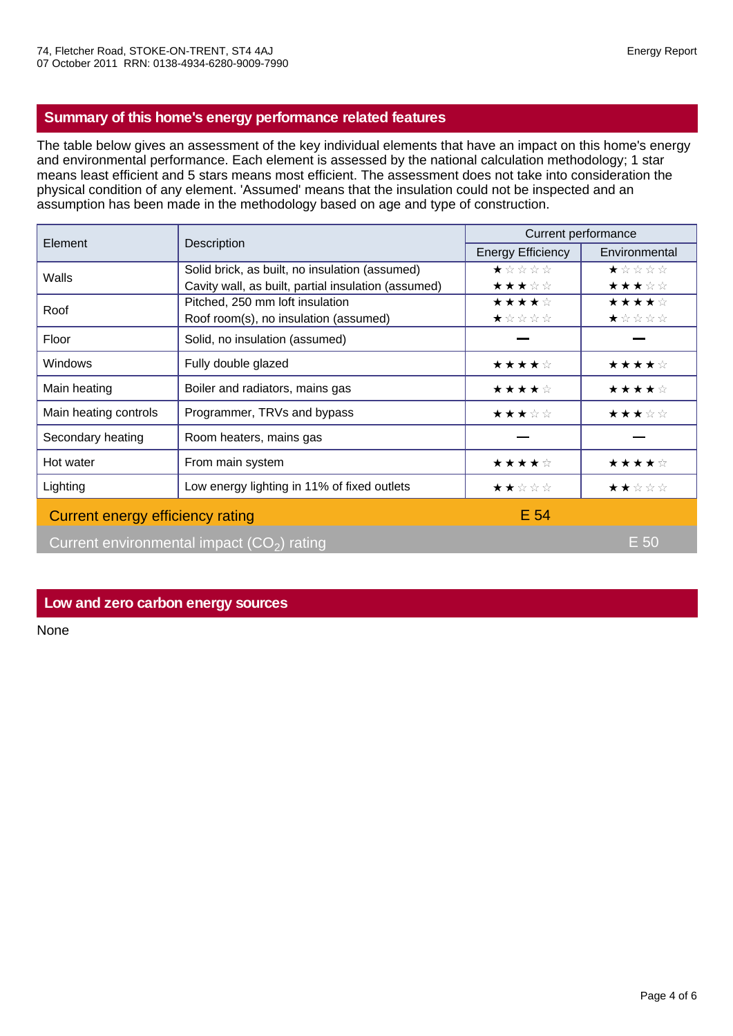# **Summary of this home's energy performance related features**

The table below gives an assessment of the key individual elements that have an impact on this home's energy and environmental performance. Each element is assessed by the national calculation methodology; 1 star means least efficient and 5 stars means most efficient. The assessment does not take into consideration the physical condition of any element. 'Assumed' means that the insulation could not be inspected and an assumption has been made in the methodology based on age and type of construction.

| Element                                     | Description                                         | Current performance      |                                                                                                 |  |
|---------------------------------------------|-----------------------------------------------------|--------------------------|-------------------------------------------------------------------------------------------------|--|
|                                             |                                                     | <b>Energy Efficiency</b> | Environmental                                                                                   |  |
| Walls                                       | Solid brick, as built, no insulation (assumed)      | $\star$ * * * *          | $\star \; \mathop{\star}\; \mathop{\star}\; \mathop{\star}\; \mathop{\star}\; \mathop{\star}\;$ |  |
|                                             | Cavity wall, as built, partial insulation (assumed) | ★★★☆☆                    | ★★★☆☆                                                                                           |  |
| Roof                                        | Pitched, 250 mm loft insulation                     | ★★★★☆                    | ★★★★☆                                                                                           |  |
|                                             | Roof room(s), no insulation (assumed)               | ★☆☆☆☆                    | ★☆☆☆☆                                                                                           |  |
| Floor                                       | Solid, no insulation (assumed)                      |                          |                                                                                                 |  |
| <b>Windows</b>                              | Fully double glazed                                 | ★★★★☆                    | ★★★★☆                                                                                           |  |
| Main heating                                | Boiler and radiators, mains gas                     | ★★★★☆                    | ★★★★☆                                                                                           |  |
| Main heating controls                       | Programmer, TRVs and bypass                         | ★★★☆☆                    | ★★★☆☆                                                                                           |  |
| Secondary heating                           | Room heaters, mains gas                             |                          |                                                                                                 |  |
| Hot water                                   | From main system                                    | ★★★★☆                    | ★★★★☆                                                                                           |  |
| Lighting                                    | Low energy lighting in 11% of fixed outlets         | ★★☆☆☆                    | ★★☆☆☆                                                                                           |  |
| Current energy efficiency rating            |                                                     | E 54                     |                                                                                                 |  |
| Current environmental impact $(CO2)$ rating |                                                     |                          | $E$ 50                                                                                          |  |

## **Low and zero carbon energy sources**

None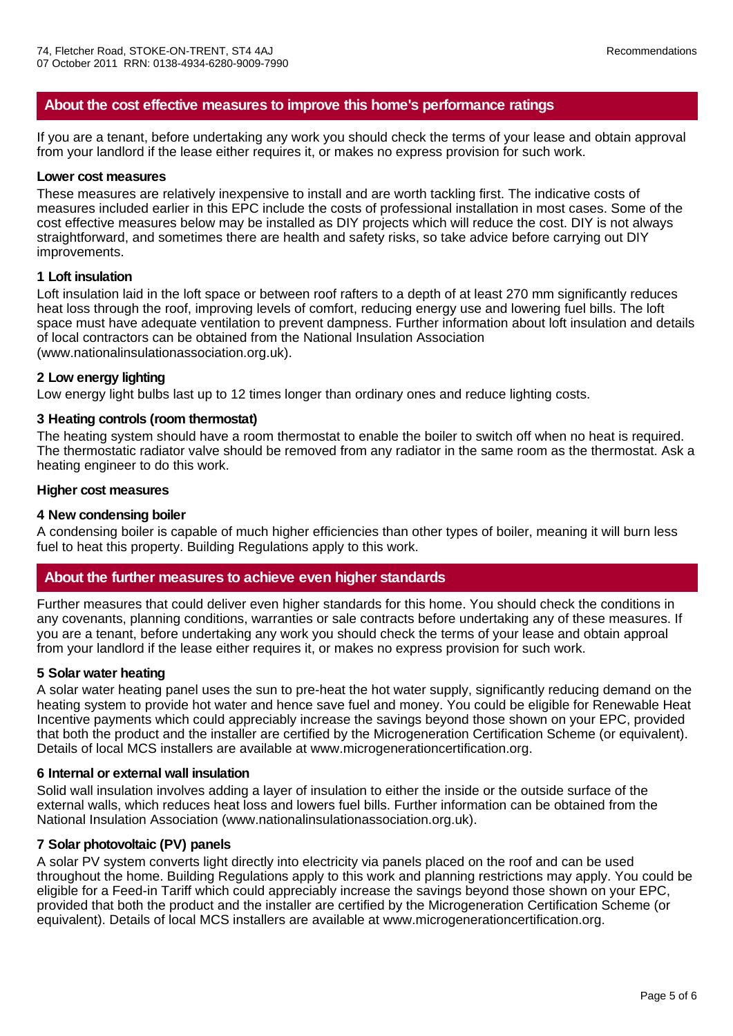## **About the cost effective measures to improve this home's performance ratings**

If you are a tenant, before undertaking any work you should check the terms of your lease and obtain approval from your landlord if the lease either requires it, or makes no express provision for such work.

#### **Lower cost measures**

These measures are relatively inexpensive to install and are worth tackling first. The indicative costs of measures included earlier in this EPC include the costs of professional installation in most cases. Some of the cost effective measures below may be installed as DIY projects which will reduce the cost. DIY is not always straightforward, and sometimes there are health and safety risks, so take advice before carrying out DIY improvements.

### **1 Loft insulation**

Loft insulation laid in the loft space or between roof rafters to a depth of at least 270 mm significantly reduces heat loss through the roof, improving levels of comfort, reducing energy use and lowering fuel bills. The loft space must have adequate ventilation to prevent dampness. Further information about loft insulation and details of local contractors can be obtained from the National Insulation Association (www.nationalinsulationassociation.org.uk).

#### **2 Low energy lighting**

Low energy light bulbs last up to 12 times longer than ordinary ones and reduce lighting costs.

#### **3 Heating controls (room thermostat)**

The heating system should have a room thermostat to enable the boiler to switch off when no heat is required. The thermostatic radiator valve should be removed from any radiator in the same room as the thermostat. Ask a heating engineer to do this work.

#### **Higher cost measures**

#### **4 New condensing boiler**

A condensing boiler is capable of much higher efficiencies than other types of boiler, meaning it will burn less fuel to heat this property. Building Regulations apply to this work.

## **About the further measures to achieve even higher standards**

Further measures that could deliver even higher standards for this home. You should check the conditions in any covenants, planning conditions, warranties or sale contracts before undertaking any of these measures. If you are a tenant, before undertaking any work you should check the terms of your lease and obtain approal from your landlord if the lease either requires it, or makes no express provision for such work.

#### **5 Solar water heating**

A solar water heating panel uses the sun to pre-heat the hot water supply, significantly reducing demand on the heating system to provide hot water and hence save fuel and money. You could be eligible for Renewable Heat Incentive payments which could appreciably increase the savings beyond those shown on your EPC, provided that both the product and the installer are certified by the Microgeneration Certification Scheme (or equivalent). Details of local MCS installers are available at www.microgenerationcertification.org.

#### **6 Internal or external wall insulation**

Solid wall insulation involves adding a layer of insulation to either the inside or the outside surface of the external walls, which reduces heat loss and lowers fuel bills. Further information can be obtained from the National Insulation Association (www.nationalinsulationassociation.org.uk).

### **7 Solar photovoltaic (PV) panels**

A solar PV system converts light directly into electricity via panels placed on the roof and can be used throughout the home. Building Regulations apply to this work and planning restrictions may apply. You could be eligible for a Feed-in Tariff which could appreciably increase the savings beyond those shown on your EPC, provided that both the product and the installer are certified by the Microgeneration Certification Scheme (or equivalent). Details of local MCS installers are available at www.microgenerationcertification.org.